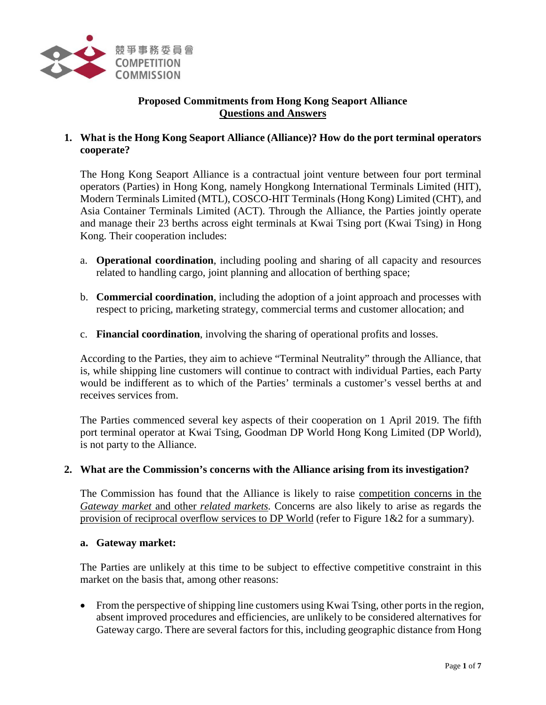

# **Proposed Commitments from Hong Kong Seaport Alliance Questions and Answers**

### **1. What is the Hong Kong Seaport Alliance (Alliance)? How do the port terminal operators cooperate?**

The Hong Kong Seaport Alliance is a contractual joint venture between four port terminal operators (Parties) in Hong Kong, namely Hongkong International Terminals Limited (HIT), Modern Terminals Limited (MTL), COSCO-HIT Terminals (Hong Kong) Limited (CHT), and Asia Container Terminals Limited (ACT). Through the Alliance, the Parties jointly operate and manage their 23 berths across eight terminals at Kwai Tsing port (Kwai Tsing) in Hong Kong. Their cooperation includes:

- a. **Operational coordination**, including pooling and sharing of all capacity and resources related to handling cargo, joint planning and allocation of berthing space;
- b. **Commercial coordination**, including the adoption of a joint approach and processes with respect to pricing, marketing strategy, commercial terms and customer allocation; and
- c. **Financial coordination**, involving the sharing of operational profits and losses.

According to the Parties, they aim to achieve "Terminal Neutrality" through the Alliance, that is, while shipping line customers will continue to contract with individual Parties, each Party would be indifferent as to which of the Parties' terminals a customer's vessel berths at and receives services from.

The Parties commenced several key aspects of their cooperation on 1 April 2019. The fifth port terminal operator at Kwai Tsing, Goodman DP World Hong Kong Limited (DP World), is not party to the Alliance.

#### **2. What are the Commission's concerns with the Alliance arising from its investigation?**

The Commission has found that the Alliance is likely to raise competition concerns in the *Gateway market* and other *related markets.* Concerns are also likely to arise as regards the provision of reciprocal overflow services to DP World (refer to Figure 1&2 for a summary).

#### **a. Gateway market:**

The Parties are unlikely at this time to be subject to effective competitive constraint in this market on the basis that, among other reasons:

• From the perspective of shipping line customers using Kwai Tsing, other ports in the region, absent improved procedures and efficiencies, are unlikely to be considered alternatives for Gateway cargo. There are several factors for this, including geographic distance from Hong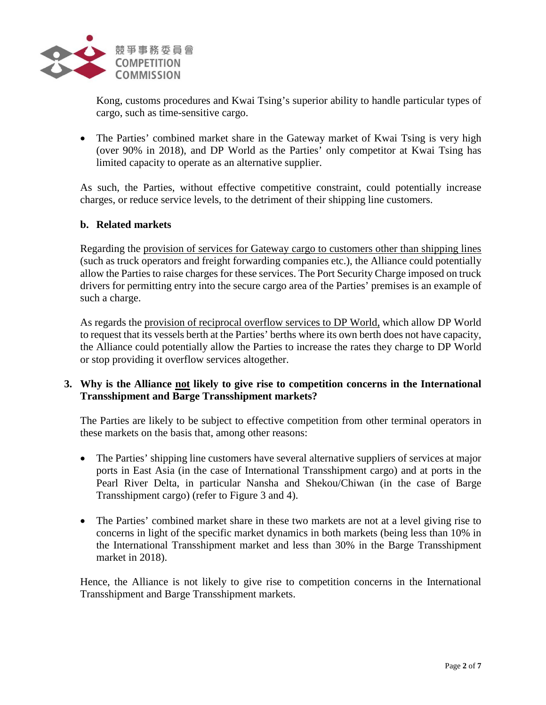

Kong, customs procedures and Kwai Tsing's superior ability to handle particular types of cargo, such as time-sensitive cargo.

• The Parties' combined market share in the Gateway market of Kwai Tsing is very high (over 90% in 2018), and DP World as the Parties' only competitor at Kwai Tsing has limited capacity to operate as an alternative supplier.

As such, the Parties, without effective competitive constraint, could potentially increase charges, or reduce service levels, to the detriment of their shipping line customers.

#### **b. Related markets**

Regarding the provision of services for Gateway cargo to customers other than shipping lines (such as truck operators and freight forwarding companies etc.), the Alliance could potentially allow the Parties to raise charges for these services. The Port Security Charge imposed on truck drivers for permitting entry into the secure cargo area of the Parties' premises is an example of such a charge.

As regards the provision of reciprocal overflow services to DP World, which allow DP World to request that its vessels berth at the Parties' berths where its own berth does not have capacity, the Alliance could potentially allow the Parties to increase the rates they charge to DP World or stop providing it overflow services altogether.

# **3. Why is the Alliance not likely to give rise to competition concerns in the International Transshipment and Barge Transshipment markets?**

The Parties are likely to be subject to effective competition from other terminal operators in these markets on the basis that, among other reasons:

- The Parties' shipping line customers have several alternative suppliers of services at major ports in East Asia (in the case of International Transshipment cargo) and at ports in the Pearl River Delta, in particular Nansha and Shekou/Chiwan (in the case of Barge Transshipment cargo) (refer to Figure 3 and 4).
- The Parties' combined market share in these two markets are not at a level giving rise to concerns in light of the specific market dynamics in both markets (being less than 10% in the International Transshipment market and less than 30% in the Barge Transshipment market in 2018).

Hence, the Alliance is not likely to give rise to competition concerns in the International Transshipment and Barge Transshipment markets.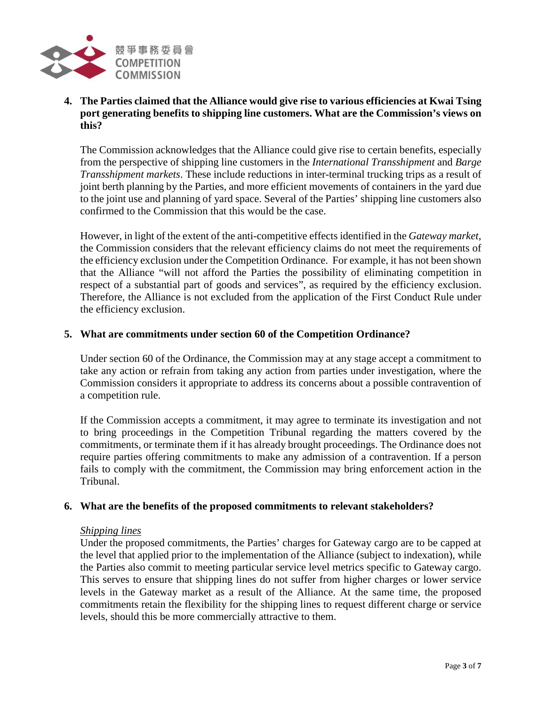

# **4. The Parties claimed that the Alliance would give rise to various efficiencies at Kwai Tsing port generating benefits to shipping line customers. What are the Commission's views on this?**

The Commission acknowledges that the Alliance could give rise to certain benefits, especially from the perspective of shipping line customers in the *International Transshipment* and *Barge Transshipment markets*. These include reductions in inter-terminal trucking trips as a result of joint berth planning by the Parties, and more efficient movements of containers in the yard due to the joint use and planning of yard space. Several of the Parties' shipping line customers also confirmed to the Commission that this would be the case.

However, in light of the extent of the anti-competitive effects identified in the *Gateway market*, the Commission considers that the relevant efficiency claims do not meet the requirements of the efficiency exclusion under the Competition Ordinance. For example, it has not been shown that the Alliance "will not afford the Parties the possibility of eliminating competition in respect of a substantial part of goods and services", as required by the efficiency exclusion. Therefore, the Alliance is not excluded from the application of the First Conduct Rule under the efficiency exclusion.

#### **5. What are commitments under section 60 of the Competition Ordinance?**

Under section 60 of the Ordinance, the Commission may at any stage accept a commitment to take any action or refrain from taking any action from parties under investigation, where the Commission considers it appropriate to address its concerns about a possible contravention of a competition rule.

If the Commission accepts a commitment, it may agree to terminate its investigation and not to bring proceedings in the Competition Tribunal regarding the matters covered by the commitments, or terminate them if it has already brought proceedings. The Ordinance does not require parties offering commitments to make any admission of a contravention. If a person fails to comply with the commitment, the Commission may bring enforcement action in the Tribunal.

#### **6. What are the benefits of the proposed commitments to relevant stakeholders?**

#### *Shipping lines*

Under the proposed commitments, the Parties' charges for Gateway cargo are to be capped at the level that applied prior to the implementation of the Alliance (subject to indexation), while the Parties also commit to meeting particular service level metrics specific to Gateway cargo. This serves to ensure that shipping lines do not suffer from higher charges or lower service levels in the Gateway market as a result of the Alliance. At the same time, the proposed commitments retain the flexibility for the shipping lines to request different charge or service levels, should this be more commercially attractive to them.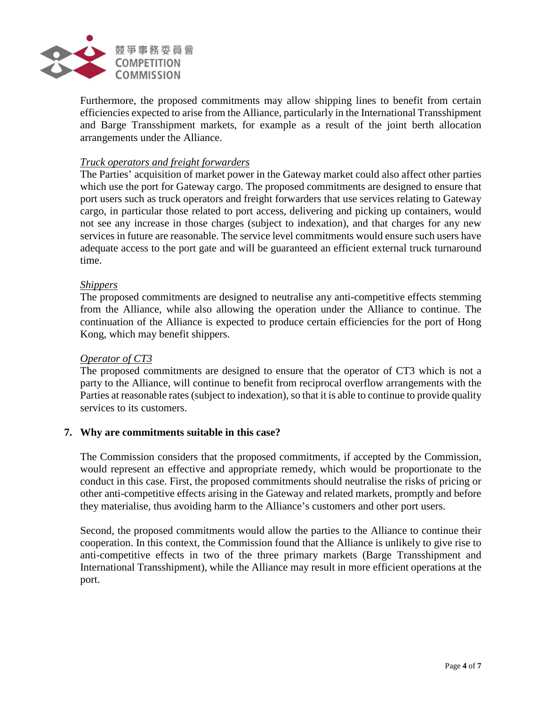

Furthermore, the proposed commitments may allow shipping lines to benefit from certain efficiencies expected to arise from the Alliance, particularly in the International Transshipment and Barge Transshipment markets, for example as a result of the joint berth allocation arrangements under the Alliance.

#### *Truck operators and freight forwarders*

The Parties' acquisition of market power in the Gateway market could also affect other parties which use the port for Gateway cargo. The proposed commitments are designed to ensure that port users such as truck operators and freight forwarders that use services relating to Gateway cargo, in particular those related to port access, delivering and picking up containers, would not see any increase in those charges (subject to indexation), and that charges for any new services in future are reasonable. The service level commitments would ensure such users have adequate access to the port gate and will be guaranteed an efficient external truck turnaround time.

#### *Shippers*

The proposed commitments are designed to neutralise any anti-competitive effects stemming from the Alliance, while also allowing the operation under the Alliance to continue. The continuation of the Alliance is expected to produce certain efficiencies for the port of Hong Kong, which may benefit shippers.

#### *Operator of CT3*

The proposed commitments are designed to ensure that the operator of CT3 which is not a party to the Alliance, will continue to benefit from reciprocal overflow arrangements with the Parties at reasonable rates (subject to indexation), so that it is able to continue to provide quality services to its customers.

#### **7. Why are commitments suitable in this case?**

The Commission considers that the proposed commitments, if accepted by the Commission, would represent an effective and appropriate remedy, which would be proportionate to the conduct in this case. First, the proposed commitments should neutralise the risks of pricing or other anti-competitive effects arising in the Gateway and related markets, promptly and before they materialise, thus avoiding harm to the Alliance's customers and other port users.

Second, the proposed commitments would allow the parties to the Alliance to continue their cooperation. In this context, the Commission found that the Alliance is unlikely to give rise to anti-competitive effects in two of the three primary markets (Barge Transshipment and International Transshipment), while the Alliance may result in more efficient operations at the port.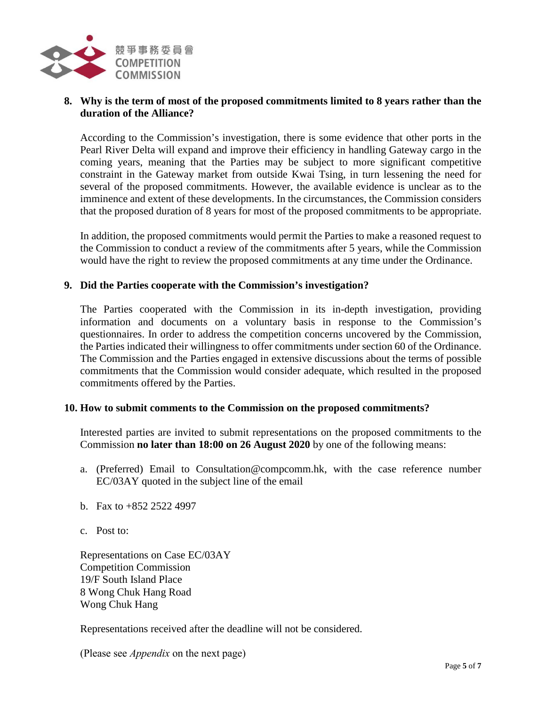

# **8. Why is the term of most of the proposed commitments limited to 8 years rather than the duration of the Alliance?**

According to the Commission's investigation, there is some evidence that other ports in the Pearl River Delta will expand and improve their efficiency in handling Gateway cargo in the coming years, meaning that the Parties may be subject to more significant competitive constraint in the Gateway market from outside Kwai Tsing, in turn lessening the need for several of the proposed commitments. However, the available evidence is unclear as to the imminence and extent of these developments. In the circumstances, the Commission considers that the proposed duration of 8 years for most of the proposed commitments to be appropriate.

In addition, the proposed commitments would permit the Parties to make a reasoned request to the Commission to conduct a review of the commitments after 5 years, while the Commission would have the right to review the proposed commitments at any time under the Ordinance.

#### **9. Did the Parties cooperate with the Commission's investigation?**

The Parties cooperated with the Commission in its in-depth investigation, providing information and documents on a voluntary basis in response to the Commission's questionnaires. In order to address the competition concerns uncovered by the Commission, the Parties indicated their willingness to offer commitments under section 60 of the Ordinance. The Commission and the Parties engaged in extensive discussions about the terms of possible commitments that the Commission would consider adequate, which resulted in the proposed commitments offered by the Parties.

#### **10. How to submit comments to the Commission on the proposed commitments?**

Interested parties are invited to submit representations on the proposed commitments to the Commission **no later than 18:00 on 26 August 2020** by one of the following means:

- a. (Preferred) Email to Consultation@compcomm.hk, with the case reference number EC/03AY quoted in the subject line of the email
- b. Fax to +852 2522 4997
- c. Post to:

Representations on Case EC/03AY Competition Commission 19/F South Island Place 8 Wong Chuk Hang Road Wong Chuk Hang

Representations received after the deadline will not be considered.

(Please see *Appendix* on the next page)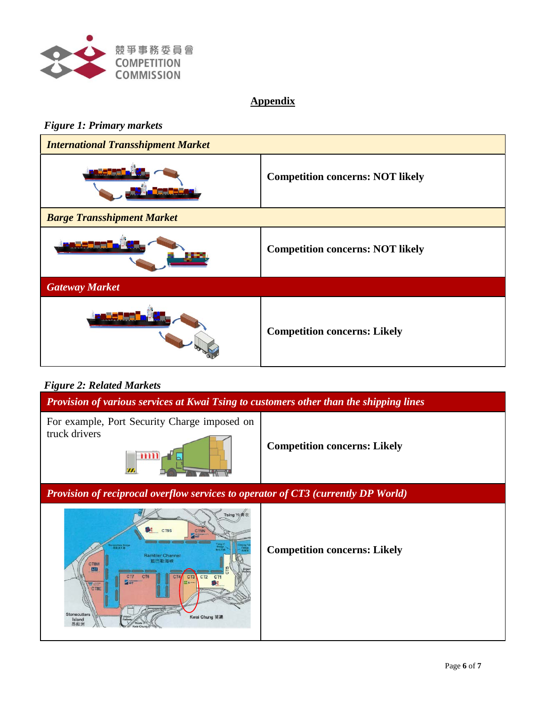

# **Appendix**

# *Figure 1: Primary markets*

| <b>International Transshipment Market</b> |                                         |
|-------------------------------------------|-----------------------------------------|
|                                           | <b>Competition concerns: NOT likely</b> |
| <b>Barge Transshipment Market</b>         |                                         |
|                                           | <b>Competition concerns: NOT likely</b> |
| <b>Gateway Market</b>                     |                                         |
|                                           | <b>Competition concerns: Likely</b>     |

# *Figure 2: Related Markets*

| Provision of various services at Kwai Tsing to customers other than the shipping lines                                                                                                    |                                     |
|-------------------------------------------------------------------------------------------------------------------------------------------------------------------------------------------|-------------------------------------|
| For example, Port Security Charge imposed on<br>truck drivers<br>mm                                                                                                                       | <b>Competition concerns: Likely</b> |
| <b>Provision of reciprocal overflow services to operator of CT3 (currently DP World)</b>                                                                                                  |                                     |
| Tsing Yu青衣<br>CT9S<br>ecution Bridge<br>Military of<br><b>Rambler Channel</b><br><b>CTBW</b><br><b>ACT</b><br>CT2<br><b>The Second</b><br>CTBE<br>Stonecutters<br>Kwai Chung 奖满<br>Island | <b>Competition concerns: Likely</b> |